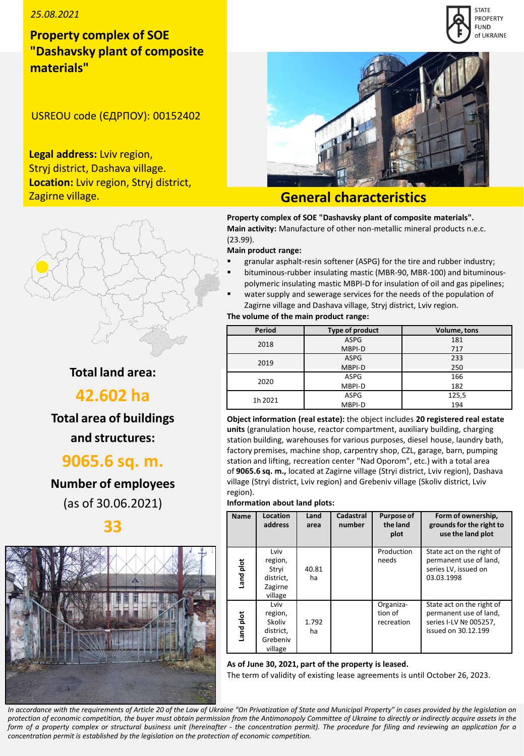## *25.08.2021*

# **Property complex of SOE "Dashavsky plant of composite materials"**

USREOU code (ЄДРПОУ): 00152402

**Legal address:** Lviv region, Stryj district, Dashava village. **Location:** Lviv region, Stryj district, Zagirne village.



# **General characteristics**

**Property complex of SOE "Dashavsky plant of composite materials". Main activity:** Manufacture of other non-metallic mineral products n.e.c. (23.99).

#### **Main product range:**

- granular asphalt-resin softener (ASPG) for the tire and rubber industry;
- bituminous-rubber insulating mastic (MBR-90, MBR-100) and bituminouspolymeric insulating mastic MBPI-D for insulation of oil and gas pipelines;
- water supply and sewerage services for the needs of the population of Zagirne village and Dashava village, Stryj district, Lviv region.

**The volume of the main product range:**

| Period  | Type of product | Volume, tons |
|---------|-----------------|--------------|
| 2018    | <b>ASPG</b>     | 181          |
|         | MBPI-D          | 717          |
| 2019    | <b>ASPG</b>     | 233          |
|         | MBPI-D          | 250          |
| 2020    | <b>ASPG</b>     | 166          |
|         | MBPI-D          | 182          |
| 1h 2021 | <b>ASPG</b>     | 125,5        |
|         | MBPI-D          | 194          |

**Object information (real estate):** the object includes **20 registered real estate units** (granulation house, reactor compartment, auxiliary building, charging station building, warehouses for various purposes, diesel house, laundry bath, factory premises, machine shop, carpentry shop, CZL, garage, barn, pumping station and lifting, recreation center "Nad Oporom", etc.) with a total area of **9065.6 sq. m.,** located at Zagirne village (Stryi district, Lviv region), Dashava village (Stryi district, Lviv region) and Grebeniv village (Skoliv district, Lviv region).

#### **Information about land plots:**

| <b>Name</b> | Location<br>address                                           | Land<br>area | Cadastral<br>number | Purpose of<br>the land<br>plot     | Form of ownership,<br>grounds for the right to<br>use the land plot                                  |
|-------------|---------------------------------------------------------------|--------------|---------------------|------------------------------------|------------------------------------------------------------------------------------------------------|
| Land plot   | Lviv<br>region,<br>Stryi<br>district,<br>Zagirne<br>village   | 40.81<br>ha  |                     | Production<br>needs                | State act on the right of<br>permanent use of land,<br>series LV, issued on<br>03.03.1998            |
| Land plot   | Lviv<br>region,<br>Skoliv<br>district,<br>Grebeniv<br>village | 1.792<br>ha  |                     | Organiza-<br>tion of<br>recreation | State act on the right of<br>permanent use of land,<br>series I-LV Nº 005257,<br>issued on 30.12.199 |

#### **As of June 30, 2021, part of the property is leased.**

The term of validity of existing lease agreements is until October 26, 2023.

In accordance with the requirements of Article 20 of the Law of Ukraine "On Privatization of State and Municipal Property" in cases provided by the legislation on protection of economic competition, the buyer must obtain permission from the Antimonopoly Committee of Ukraine to directly or indirectly acquire assets in the form of a property complex or structural business unit (hereinafter - the concentration permit). The procedure for filing and reviewing an application for a *concentration permit is established by the legislation on the protection of economic competition.*

# **Total land area:**

# **42.602 ha**

**Total area of buildings and structures:** 

# **9065.6 sq. m.**

**Number of employees**  (as of 30.06.2021)